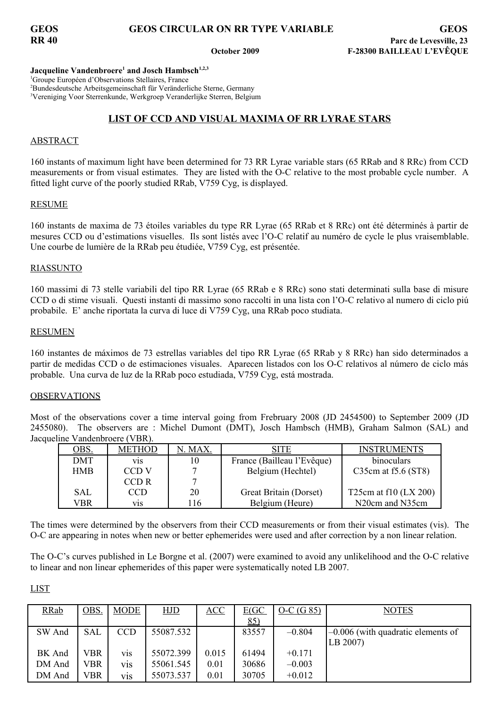### **Jacqueline Vandenbroere<sup>1</sup> and Josch Hambsch1,2,3**

<sup>1</sup>Groupe Européen d'Observations Stellaires, France <sup>2</sup>Bundesdeutsche Arbeitsgemeinschaft für Veränderliche Sterne, Germany <sup>3</sup>Vereniging Voor Sterrenkunde, Werkgroep Veranderlijke Sterren, Belgium

# **LIST OF CCD AND VISUAL MAXIMA OF RR LYRAE STARS**

## **ABSTRACT**

160 instants of maximum light have been determined for 73 RR Lyrae variable stars (65 RRab and 8 RRc) from CCD measurements or from visual estimates. They are listed with the O-C relative to the most probable cycle number. A fitted light curve of the poorly studied RRab, V759 Cyg, is displayed.

## RESUME

160 instants de maxima de 73 étoiles variables du type RR Lyrae (65 RRab et 8 RRc) ont été déterminés à partir de mesures CCD ou d'estimations visuelles. Ils sont listés avec l'O-C relatif au numéro de cycle le plus vraisemblable. Une courbe de lumière de la RRab peu étudiée, V759 Cyg, est présentée.

## RIASSUNTO

160 massimi di 73 stelle variabili del tipo RR Lyrae (65 RRab e 8 RRc) sono stati determinati sulla base di misure CCD o di stime visuali. Questi instanti di massimo sono raccolti in una lista con l'O-C relativo al numero di ciclo piú probabile. E' anche riportata la curva di luce di V759 Cyg, una RRab poco studiata.

### RESUMEN

160 instantes de máximos de 73 estrellas variables del tipo RR Lyrae (65 RRab y 8 RRc) han sido determinados a partir de medidas CCD o de estimaciones visuales. Aparecen listados con los O-C relativos al número de ciclo más probable. Una curva de luz de la RRab poco estudiada, V759 Cyg, está mostrada.

## OBSERVATIONS

Most of the observations cover a time interval going from Frebruary 2008 (JD 2454500) to September 2009 (JD 2455080). The observers are : Michel Dumont (DMT), Josch Hambsch (HMB), Graham Salmon (SAL) and Jacqueline Vandenbroere (VBR).

| <u>OBS.</u> | <b>METHOD</b> | N. MAX. | SITE                       | <b>INSTRUMENTS</b>                        |
|-------------|---------------|---------|----------------------------|-------------------------------------------|
| DMT         | V1S           | 10      | France (Bailleau l'Evêque) | binoculars                                |
| <b>HMB</b>  | CCD V         | −       | Belgium (Hechtel)          | C35cm at $f5.6$ (ST8)                     |
|             | CCD R         | −       |                            |                                           |
| SAL         | CCD           | 20      | Great Britain (Dorset)     | T25cm at $f10$ (LX 200)                   |
| VBR         | V1S           | '16     | Belgium (Heure)            | N <sub>20</sub> cm and N <sub>35</sub> cm |

The times were determined by the observers from their CCD measurements or from their visual estimates (vis). The O-C are appearing in notes when new or better ephemerides were used and after correction by a non linear relation.

The O-C's curves published in Le Borgne et al. (2007) were examined to avoid any unlikelihood and the O-C relative to linear and non linear ephemerides of this paper were systematically noted LB 2007.

LIST

| <b>RRab</b> | <b>OBS</b> | <b>MODE</b>      | <b>HJD</b> | ACC   | E(GC)      | $O-C(G 85)$ | <b>NOTES</b>                                      |
|-------------|------------|------------------|------------|-------|------------|-------------|---------------------------------------------------|
|             |            |                  |            |       | <u>85)</u> |             |                                                   |
| SW And      | <b>SAL</b> | <b>CCD</b>       | 55087.532  |       | 83557      | $-0.804$    | $\left[-0.006\right]$ (with quadratic elements of |
|             |            |                  |            |       |            |             | LB 2007)                                          |
| BK And      | VBR        | <b>V1S</b>       | 55072.399  | 0.015 | 61494      | $+0.171$    |                                                   |
| DM And      | VBR        | V <sub>1</sub> S | 55061.545  | 0.01  | 30686      | $-0.003$    |                                                   |
| DM And      | VBR        | V <sub>1</sub> S | 55073.537  | 0.01  | 30705      | $+0.012$    |                                                   |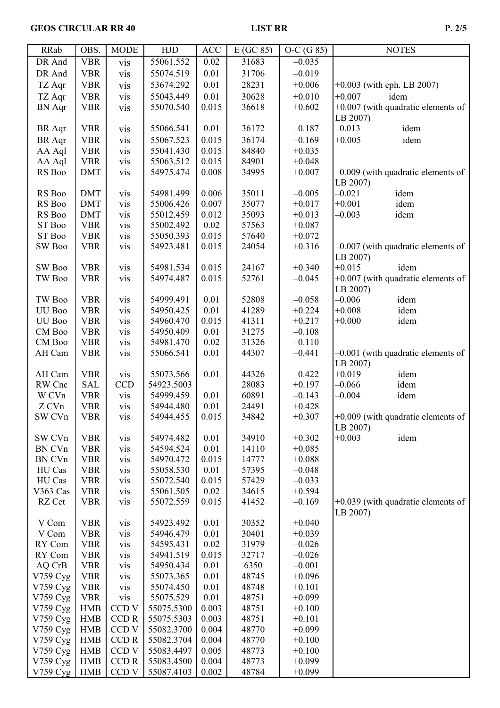## GEOS CIRCULAR RR 40 LIST RR P. 2/5

| <b>RRab</b>   | OBS.       | <b>MODE</b>      | <b>HJD</b> | $\overline{ACC}$ | E(GC 85) | $O-C(G 85)$ | <b>NOTES</b>                         |
|---------------|------------|------------------|------------|------------------|----------|-------------|--------------------------------------|
| DR And        | <b>VBR</b> | vis              | 55061.552  | 0.02             | 31683    | $-0.035$    |                                      |
| DR And        | <b>VBR</b> | vis              | 55074.519  | 0.01             | 31706    | $-0.019$    |                                      |
| TZ Aqr        | <b>VBR</b> | vis              | 53674.292  | 0.01             | 28231    | $+0.006$    | $+0.003$ (with eph. LB 2007)         |
| TZ Aqr        | <b>VBR</b> | vis              | 55043.449  | 0.01             | 30628    | $+0.010$    | $+0.007$<br>idem                     |
|               | <b>VBR</b> |                  | 55070.540  | 0.015            | 36618    | $+0.602$    | $+0.007$ (with quadratic elements of |
| <b>BN</b> Aqr |            | vis              |            |                  |          |             |                                      |
|               |            |                  |            |                  |          |             | LB 2007)<br>$-0.013$                 |
| <b>BR</b> Aqr | <b>VBR</b> | vis              | 55066.541  | 0.01             | 36172    | $-0.187$    | idem                                 |
| <b>BR</b> Aqr | <b>VBR</b> | vis              | 55067.523  | 0.015            | 36174    | $-0.169$    | $+0.005$<br>idem                     |
| AA Aql        | <b>VBR</b> | vis              | 55041.430  | 0.015            | 84840    | $+0.035$    |                                      |
| AA Aql        | <b>VBR</b> | vis              | 55063.512  | 0.015            | 84901    | $+0.048$    |                                      |
| RS Boo        | <b>DMT</b> | vis              | 54975.474  | 0.008            | 34995    | $+0.007$    | $-0.009$ (with quadratic elements of |
|               |            |                  |            |                  |          |             | LB 2007)                             |
| RS Boo        | <b>DMT</b> | vis              | 54981.499  | 0.006            | 35011    | $-0.005$    | $-0.021$<br>idem                     |
| RS Boo        | <b>DMT</b> | vis              | 55006.426  | 0.007            | 35077    | $+0.017$    | $+0.001$<br>idem                     |
| RS Boo        | <b>DMT</b> | vis              | 55012.459  | 0.012            | 35093    | $+0.013$    | $-0.003$<br>idem                     |
| ST Boo        | <b>VBR</b> | vis              | 55002.492  | 0.02             | 57563    | $+0.087$    |                                      |
| ST Boo        | <b>VBR</b> | vis              | 55050.393  | 0.015            | 57640    | $+0.072$    |                                      |
| SW Boo        | <b>VBR</b> | vis              | 54923.481  | 0.015            | 24054    | $+0.316$    | $-0.007$ (with quadratic elements of |
|               |            |                  |            |                  |          |             | LB 2007)                             |
| SW Boo        | <b>VBR</b> | vis              | 54981.534  | 0.015            | 24167    | $+0.340$    | $+0.015$<br>idem                     |
| TW Boo        | <b>VBR</b> | vis              | 54974.487  | 0.015            | 52761    | $-0.045$    | $+0.007$ (with quadratic elements of |
|               |            |                  |            |                  |          |             | LB 2007)                             |
| TW Boo        | <b>VBR</b> | vis              | 54999.491  | 0.01             | 52808    | $-0.058$    | $-0.006$<br>idem                     |
| UU Boo        | <b>VBR</b> | vis              | 54950.425  | 0.01             | 41289    | $+0.224$    | idem<br>$+0.008$                     |
| UU Boo        | <b>VBR</b> | vis              | 54960.470  | 0.015            | 41311    | $+0.217$    | $+0.000$<br>idem                     |
| CM Boo        | <b>VBR</b> | vis              | 54950.409  | 0.01             | 31275    | $-0.108$    |                                      |
| CM Boo        | <b>VBR</b> | vis              | 54981.470  | 0.02             | 31326    | $-0.110$    |                                      |
| AH Cam        | <b>VBR</b> | vis              | 55066.541  | 0.01             | 44307    | $-0.441$    | $-0.001$ (with quadratic elements of |
|               |            |                  |            |                  |          |             | LB 2007)                             |
| AH Cam        | <b>VBR</b> | vis              | 55073.566  | 0.01             | 44326    | $-0.422$    | $+0.019$<br>idem                     |
| RW Cnc        | <b>SAL</b> | <b>CCD</b>       | 54923.5003 |                  | 28083    | $+0.197$    | idem<br>$-0.066$                     |
| W CVn         | <b>VBR</b> | vis              | 54999.459  | 0.01             | 60891    | $-0.143$    | idem<br>$-0.004$                     |
| Z CVn         | <b>VBR</b> | vis              | 54944.480  | 0.01             | 24491    | $+0.428$    |                                      |
| SW CVn        | <b>VBR</b> | vis              | 54944.455  | 0.015            | 34842    | $+0.307$    | $+0.009$ (with quadratic elements of |
|               |            |                  |            |                  |          |             | LB 2007)                             |
| SW CVn        | <b>VBR</b> | vis              | 54974.482  | 0.01             | 34910    | $+0.302$    | $+0.003$<br>idem                     |
| BN CVn        | <b>VBR</b> | vis              | 54594.524  | 0.01             | 14110    | $+0.085$    |                                      |
| BN CVn        | <b>VBR</b> | vis              | 54970.472  | 0.015            | 14777    | $+0.088$    |                                      |
| HU Cas        | <b>VBR</b> | vis              | 55058.530  | 0.01             | 57395    | $-0.048$    |                                      |
| HU Cas        | <b>VBR</b> | vis              | 55072.540  | 0.015            | 57429    | $-0.033$    |                                      |
| V363 Cas      | <b>VBR</b> | vis              | 55061.505  | 0.02             | 34615    | $+0.594$    |                                      |
| RZ Cet        | <b>VBR</b> | vis              | 55072.559  | 0.015            | 41452    | $-0.169$    | $+0.039$ (with quadratic elements of |
|               |            |                  |            |                  |          |             | LB 2007)                             |
| V Com         | <b>VBR</b> | vis              | 54923.492  | 0.01             | 30352    | $+0.040$    |                                      |
| V Com         | <b>VBR</b> | vis              | 54946.479  | 0.01             | 30401    | $+0.039$    |                                      |
| RY Com        | <b>VBR</b> | vis              | 54595.431  | 0.02             | 31979    | $-0.026$    |                                      |
| RY Com        | <b>VBR</b> | vis              | 54941.519  | 0.015            | 32717    | $-0.026$    |                                      |
| AQ CrB        | <b>VBR</b> | vis              | 54950.434  | 0.01             | 6350     | $-0.001$    |                                      |
| V759 Cyg      | <b>VBR</b> | vis              | 55073.365  | 0.01             | 48745    | $+0.096$    |                                      |
| V759 Cyg      | <b>VBR</b> | vis              | 55074.450  | 0.01             | 48748    | $+0.101$    |                                      |
| V759 Cyg      | <b>VBR</b> | vis              | 55075.529  | 0.01             | 48751    | $+0.099$    |                                      |
| V759 Cyg      | <b>HMB</b> | CCD <sub>V</sub> | 55075.5300 | 0.003            | 48751    | $+0.100$    |                                      |
| V759 Cyg      | <b>HMB</b> | CCD R            | 55075.5303 | 0.003            | 48751    | $+0.101$    |                                      |
| V759 Cyg      | <b>HMB</b> | CCD <sub>V</sub> | 55082.3700 | 0.004            | 48770    | $+0.099$    |                                      |
| V759 Cyg      | <b>HMB</b> | CCD R            | 55082.3704 | 0.004            | 48770    | $+0.100$    |                                      |
| V759 Cyg      | <b>HMB</b> | CCD <sub>V</sub> | 55083.4497 | 0.005            | 48773    | $+0.100$    |                                      |
| V759 Cyg      | <b>HMB</b> | CCD R            | 55083.4500 | 0.004            | 48773    | $+0.099$    |                                      |
| V759 $Cyg$    | <b>HMB</b> | CCD V            | 55087.4103 | 0.002            | 48784    | $+0.099$    |                                      |
|               |            |                  |            |                  |          |             |                                      |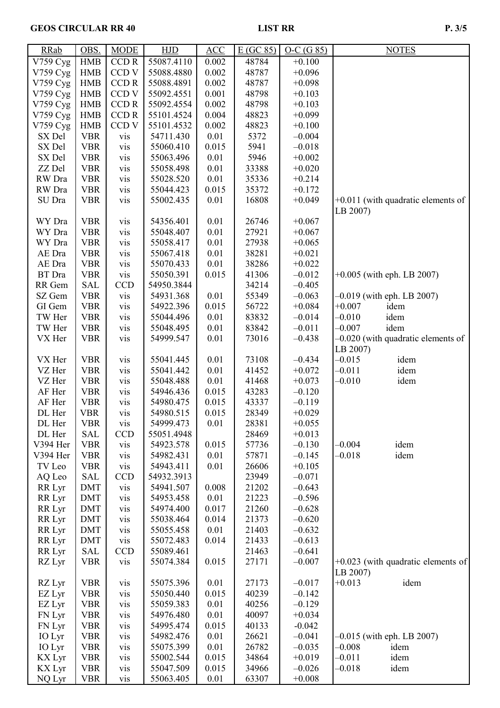## GEOS CIRCULAR RR 40 LIST RR P. 3/5

| <b>RRab</b> | OBS.                     | <b>MODE</b>                    | <b>HJD</b>             | ACC           | E(GC 85)       | $O-C(G 85)$          | <b>NOTES</b>                         |
|-------------|--------------------------|--------------------------------|------------------------|---------------|----------------|----------------------|--------------------------------------|
| V759 Cyg    | <b>HMB</b>               | <b>CCDR</b>                    | 55087.4110             | 0.002         | 48784          | $+0.100$             |                                      |
| V759 Cyg    | <b>HMB</b>               | CCD <sub>V</sub>               | 55088.4880             | 0.002         | 48787          | $+0.096$             |                                      |
| V759 Cyg    | <b>HMB</b>               | <b>CCDR</b>                    | 55088.4891             | 0.002         | 48787          | $+0.098$             |                                      |
| V759 Cyg    | <b>HMB</b>               | CCD <sub>V</sub>               | 55092.4551             | 0.001         | 48798          | $+0.103$             |                                      |
| V759 Cyg    | <b>HMB</b>               | <b>CCDR</b>                    | 55092.4554             | 0.002         | 48798          | $+0.103$             |                                      |
| V759 Cyg    | <b>HMB</b>               | <b>CCDR</b>                    | 55101.4524             | 0.004         | 48823          | $+0.099$             |                                      |
| V759 Cyg    | <b>HMB</b>               | CCD <sub>V</sub>               | 55101.4532             | 0.002         | 48823          | $+0.100$             |                                      |
| SX Del      | <b>VBR</b>               | vis                            | 54711.430              | 0.01          | 5372           | $-0.004$             |                                      |
| SX Del      | <b>VBR</b>               | vis                            | 55060.410              | 0.015         | 5941           | $-0.018$             |                                      |
| SX Del      | <b>VBR</b>               | vis                            | 55063.496              | 0.01          | 5946           | $+0.002$             |                                      |
| ZZ Del      | <b>VBR</b>               | vis                            | 55058.498              | 0.01          | 33388          | $+0.020$             |                                      |
| RW Dra      | <b>VBR</b>               | vis                            | 55028.520              | 0.01          | 35336          | $+0.214$             |                                      |
| RW Dra      | <b>VBR</b>               | vis                            | 55044.423              | 0.015         | 35372          | $+0.172$             |                                      |
| SU Dra      | <b>VBR</b>               | vis                            | 55002.435              | 0.01          | 16808          | $+0.049$             | $+0.011$ (with quadratic elements of |
|             |                          |                                |                        |               |                |                      | LB 2007)                             |
| WY Dra      | <b>VBR</b>               | vis                            | 54356.401              | 0.01          | 26746          | $+0.067$             |                                      |
| WY Dra      | <b>VBR</b>               | vis                            | 55048.407              | 0.01          | 27921          | $+0.067$             |                                      |
| WY Dra      | <b>VBR</b>               | vis                            | 55058.417              | 0.01          | 27938          | $+0.065$             |                                      |
| AE Dra      | <b>VBR</b>               | vis                            | 55067.418              | 0.01          | 38281          | $+0.021$             |                                      |
| AE Dra      | <b>VBR</b>               | vis                            | 55070.433              | 0.01          | 38286          | $+0.022$             |                                      |
| BT Dra      | <b>VBR</b>               | vis                            | 55050.391              | 0.015         | 41306          | $-0.012$             | $+0.005$ (with eph. LB 2007)         |
| RR Gem      | <b>SAL</b>               | <b>CCD</b>                     | 54950.3844             |               | 34214          | $-0.405$             |                                      |
| SZ Gem      | <b>VBR</b>               | vis                            | 54931.368              | 0.01          | 55349          | $-0.063$             | $-0.019$ (with eph. LB 2007)         |
| GI Gem      | <b>VBR</b>               | vis                            | 54922.396              | 0.015         | 56722          | $+0.084$             | $+0.007$<br>idem                     |
| TW Her      | <b>VBR</b>               | vis                            | 55044.496              | 0.01          | 83832          | $-0.014$             | $-0.010$<br>idem                     |
| TW Her      | <b>VBR</b>               | vis                            | 55048.495              | 0.01          | 83842          | $-0.011$             | $-0.007$<br>idem                     |
| VX Her      | <b>VBR</b>               | vis                            | 54999.547              | 0.01          | 73016          | $-0.438$             | $-0.020$ (with quadratic elements of |
|             |                          |                                |                        |               |                |                      | LB 2007)                             |
| VX Her      | <b>VBR</b>               | vis                            | 55041.445              | 0.01          | 73108          | $-0.434$             | $-0.015$<br>idem                     |
| VZ Her      | <b>VBR</b>               | vis                            | 55041.442              | 0.01          | 41452          | $+0.072$             | $-0.011$<br>idem                     |
| VZ Her      | <b>VBR</b>               | vis                            | 55048.488              | 0.01          | 41468          | $+0.073$             | $-0.010$<br>idem                     |
| AF Her      | <b>VBR</b>               | vis                            | 54946.436              | 0.015         | 43283          | $-0.120$             |                                      |
| AF Her      | <b>VBR</b>               | vis                            | 54980.475              | 0.015         | 43337          | $-0.119$             |                                      |
| DL Her      | <b>VBR</b>               | vis                            | 54980.515              | 0.015         | 28349          | $+0.029$             |                                      |
| DL Her      | <b>VBR</b>               |                                | 54999.473              | 0.01          | 28381          | $+0.055$             |                                      |
| DL Her      | <b>SAL</b>               | V <sub>1</sub> S<br><b>CCD</b> | 55051.4948             |               | 28469          | $+0.013$             |                                      |
| V394 Her    | <b>VBR</b>               |                                |                        | 0.015         | 57736          | $-0.130$             | $-0.004$<br>idem                     |
|             |                          | vis                            | 54923.578              | 0.01          |                |                      | $-0.018$                             |
| V394 Her    | <b>VBR</b><br><b>VBR</b> | vis                            | 54982.431              | 0.01          | 57871<br>26606 | $-0.145$<br>$+0.105$ | idem                                 |
| TV Leo      | <b>SAL</b>               | vis<br><b>CCD</b>              | 54943.411              |               |                |                      |                                      |
| AQ Leo      |                          |                                | 54932.3913             |               | 23949          | $-0.071$             |                                      |
| RR Lyr      | <b>DMT</b>               | vis                            | 54941.507              | 0.008         | 21202          | $-0.643$             |                                      |
| RR Lyr      | <b>DMT</b><br><b>DMT</b> | vis                            | 54953.458<br>54974.400 | 0.01<br>0.017 | 21223          | $-0.596$<br>$-0.628$ |                                      |
| RR Lyr      |                          | vis                            | 55038.464              |               | 21260          |                      |                                      |
| RR Lyr      | <b>DMT</b>               | vis                            |                        | 0.014<br>0.01 | 21373          | $-0.620$             |                                      |
| RR Lyr      | <b>DMT</b>               | vis                            | 55055.458              |               | 21403          | $-0.632$             |                                      |
| RR Lyr      | <b>DMT</b>               | vis                            | 55072.483              | 0.014         | 21433          | $-0.613$             |                                      |
| RR Lyr      | <b>SAL</b>               | <b>CCD</b>                     | 55089.461              |               | 21463          | $-0.641$             |                                      |
| RZ Lyr      | <b>VBR</b>               | vis                            | 55074.384              | 0.015         | 27171          | $-0.007$             | $+0.023$ (with quadratic elements of |
|             |                          |                                |                        |               |                |                      | LB 2007)                             |
| RZ Lyr      | <b>VBR</b>               | vis                            | 55075.396              | 0.01          | 27173          | $-0.017$             | $+0.013$<br>idem                     |
| EZ Lyr      | <b>VBR</b>               | vis                            | 55050.440              | 0.015         | 40239          | $-0.142$             |                                      |
| EZ Lyr      | <b>VBR</b>               | vis                            | 55059.383              | 0.01          | 40256          | $-0.129$             |                                      |
| FN Lyr      | <b>VBR</b>               | vis                            | 54976.480              | 0.01          | 40097          | $+0.034$             |                                      |
| FN Lyr      | <b>VBR</b>               | vis                            | 54995.474              | 0.015         | 40133          | $-0.042$             |                                      |
| IO Lyr      | <b>VBR</b>               | vis                            | 54982.476              | 0.01          | 26621          | $-0.041$             | $-0.015$ (with eph. LB 2007)         |
| IO Lyr      | <b>VBR</b>               | vis                            | 55075.399              | 0.01          | 26782          | $-0.035$             | $-0.008$<br>idem                     |
| KX Lyr      | <b>VBR</b>               | vis                            | 55002.544              | 0.015         | 34864          | $+0.019$             | $-0.011$<br>idem                     |
| KX Lyr      | <b>VBR</b>               | vis                            | 55047.509              | 0.015         | 34966          | $-0.026$             | $-0.018$<br>idem                     |
| NQ Lyr      | <b>VBR</b>               | vis                            | 55063.405              | 0.01          | 63307          | $+0.008$             |                                      |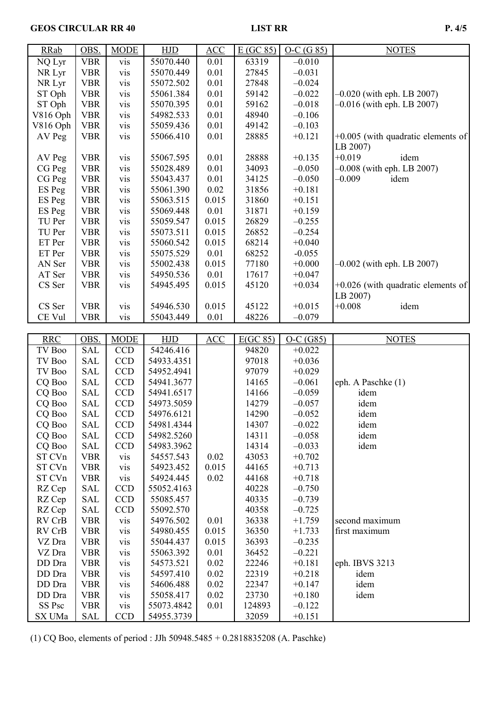## GEOS CIRCULAR RR 40 LIST RR P. 4/5

| <b>RRab</b>      | OBS.              | <b>MODE</b>       | HJD                      | ACC   | $E(GC_85)$      | $O-C(G 85)$          | <b>NOTES</b>                         |
|------------------|-------------------|-------------------|--------------------------|-------|-----------------|----------------------|--------------------------------------|
| NQ Lyr           | <b>VBR</b>        | vis               | 55070.440                | 0.01  | 63319           | $-0.010$             |                                      |
| NR Lyr           | <b>VBR</b>        | vis               | 55070.449                | 0.01  | 27845           | $-0.031$             |                                      |
| NR Lyr           | <b>VBR</b>        | vis               | 55072.502                | 0.01  | 27848           | $-0.024$             |                                      |
| ST Oph           | <b>VBR</b>        | vis               | 55061.384                | 0.01  | 59142           | $-0.022$             | $-0.020$ (with eph. LB 2007)         |
| ST Oph           | <b>VBR</b>        | vis               | 55070.395                | 0.01  | 59162           | $-0.018$             | $-0.016$ (with eph. LB 2007)         |
| V816 Oph         | <b>VBR</b>        | vis               | 54982.533                | 0.01  | 48940           | $-0.106$             |                                      |
| V816 Oph         | <b>VBR</b>        | vis               | 55059.436                | 0.01  | 49142           | $-0.103$             |                                      |
| AV Peg           | <b>VBR</b>        | vis               | 55066.410                | 0.01  | 28885           | $+0.121$             | $+0.005$ (with quadratic elements of |
|                  |                   |                   |                          |       |                 |                      | LB 2007)                             |
| AV Peg           | <b>VBR</b>        | vis               | 55067.595                | 0.01  | 28888           | $+0.135$             | $+0.019$<br>idem                     |
| CG Peg           | <b>VBR</b>        | vis               | 55028.489                | 0.01  | 34093           | $-0.050$             | $-0.008$ (with eph. LB 2007)         |
| CG Peg           | <b>VBR</b>        | vis               | 55043.437                | 0.01  | 34125           | $-0.050$             | $-0.009$<br>idem                     |
| ES Peg           | <b>VBR</b>        | vis               | 55061.390                | 0.02  | 31856           | $+0.181$             |                                      |
| ES Peg           | <b>VBR</b>        | vis               | 55063.515                | 0.015 | 31860           | $+0.151$             |                                      |
| ES Peg           | <b>VBR</b>        | vis               | 55069.448                | 0.01  | 31871           | $+0.159$             |                                      |
| TU Per           | <b>VBR</b>        | vis               | 55059.547                | 0.015 | 26829           | $-0.255$             |                                      |
| TU Per           | <b>VBR</b>        | vis               | 55073.511                | 0.015 | 26852           | $-0.254$             |                                      |
| ET Per           | <b>VBR</b>        | vis               | 55060.542                | 0.015 | 68214           | $+0.040$             |                                      |
| ET Per           | <b>VBR</b>        | vis               | 55075.529                | 0.01  | 68252           | $-0.055$             |                                      |
| AN Ser           | <b>VBR</b>        | vis               | 55002.438                | 0.015 | 77180           | $+0.000$             | $-0.002$ (with eph. LB 2007)         |
| AT Ser           | <b>VBR</b>        | vis               | 54950.536                | 0.01  | 17617           | $+0.047$             |                                      |
| CS Ser           | <b>VBR</b>        | vis               | 54945.495                | 0.015 | 45120           | $+0.034$             | $+0.026$ (with quadratic elements of |
|                  |                   |                   |                          |       |                 |                      | LB 2007)                             |
| CS Ser           | <b>VBR</b>        | vis               | 54946.530                | 0.015 | 45122           | $+0.015$             | $+0.008$<br>idem                     |
| CE Vul           | <b>VBR</b>        | vis               | 55043.449                | 0.01  | 48226           | $-0.079$             |                                      |
|                  |                   |                   |                          |       |                 |                      |                                      |
|                  |                   |                   |                          |       |                 |                      |                                      |
| <b>RRC</b>       | OBS.              | <b>MODE</b>       | HJD                      | ACC   | E(GC 85)        | $O-C(G85)$           | <b>NOTES</b>                         |
| TV Boo           | <b>SAL</b>        | <b>CCD</b>        | 54246.416                |       | 94820           | $+0.022$             |                                      |
| TV Boo           | <b>SAL</b>        | <b>CCD</b>        | 54933.4351               |       | 97018           | $+0.036$             |                                      |
| TV Boo           | <b>SAL</b>        | <b>CCD</b>        | 54952.4941               |       | 97079           | $+0.029$             |                                      |
| CQ Boo           | <b>SAL</b>        | <b>CCD</b>        | 54941.3677               |       | 14165           | $-0.061$             | eph. A Paschke (1)                   |
| CQ Boo           | SAL               | <b>CCD</b>        | 54941.6517               |       | 14166           | $-0.059$             | idem                                 |
| CQ Boo           | <b>SAL</b>        | <b>CCD</b>        | 54973.5059               |       | 14279           | $-0.057$             | idem                                 |
| CQ Boo           | <b>SAL</b>        | <b>CCD</b>        | 54976.6121               |       | 14290           | $-0.052$             | idem                                 |
| CQ Boo           | <b>SAL</b>        | <b>CCD</b>        | 54981.4344               |       | 14307           | $-0.022$             | idem                                 |
| CQ Boo           | SAL               | <b>CCD</b>        | 54982.5260               |       | 14311           | $-0.058$             | idem                                 |
| CQ Boo           | <b>SAL</b>        | <b>CCD</b>        | 54983.3962               |       | 14314           | $-0.033$             | idem                                 |
| ST CVn           | <b>VBR</b>        | vis               | 54557.543                | 0.02  | 43053           | $+0.702$             |                                      |
| ST CVn           | <b>VBR</b>        | vis               | 54923.452                | 0.015 | 44165           | $+0.713$             |                                      |
| ST CVn           | <b>VBR</b>        | vis               | 54924.445                | 0.02  | 44168           | $+0.718$             |                                      |
| RZ Cep           | SAL               | <b>CCD</b>        | 55052.4163               |       | 40228           | $-0.750$             |                                      |
| RZ Cep           | SAL               | <b>CCD</b>        | 55085.457                |       | 40335           | $-0.739$             |                                      |
| RZ Cep           | SAL               | <b>CCD</b>        | 55092.570                |       | 40358           | $-0.725$             |                                      |
| RV CrB           | <b>VBR</b>        | vis               | 54976.502                | 0.01  | 36338           | $+1.759$             | second maximum                       |
| RV CrB           | <b>VBR</b>        | vis               | 54980.455                | 0.015 | 36350           | $+1.733$             | first maximum                        |
| VZ Dra           | <b>VBR</b>        | vis               | 55044.437                | 0.015 | 36393           | $-0.235$             |                                      |
| VZ Dra           | <b>VBR</b>        | vis               | 55063.392                | 0.01  | 36452           | $-0.221$             |                                      |
| DD Dra           | <b>VBR</b>        | vis               | 54573.521                | 0.02  | 22246           | $+0.181$             | eph. IBVS 3213                       |
| DD Dra           | <b>VBR</b>        | vis               | 54597.410                | 0.02  | 22319           | $+0.218$             | idem                                 |
| DD Dra           | <b>VBR</b>        | vis               | 54606.488                | 0.02  | 22347           | $+0.147$             | idem                                 |
| DD Dra           | <b>VBR</b>        | vis               | 55058.417                | 0.02  | 23730           | $+0.180$             | idem                                 |
| SS Psc<br>SX UMa | <b>VBR</b><br>SAL | vis<br><b>CCD</b> | 55073.4842<br>54955.3739 | 0.01  | 124893<br>32059 | $-0.122$<br>$+0.151$ |                                      |

(1) CQ Boo, elements of period : JJh 50948.5485 + 0.2818835208 (A. Paschke)